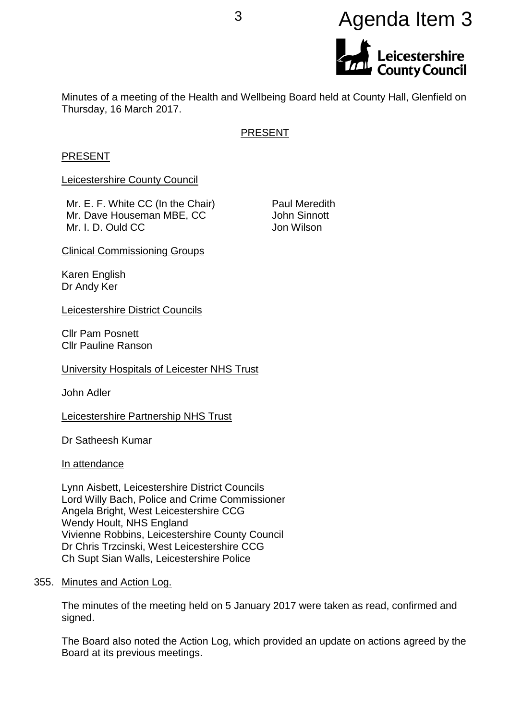# <sup>3</sup> Agenda Item 3



Minutes of a meeting of the Health and Wellbeing Board held at County Hall, Glenfield on Thursday, 16 March 2017.

# PRESENT

#### PRESENT

Leicestershire County Council

Mr. E. F. White CC (In the Chair) Mr. Dave Houseman MBE, CC Mr. I. D. Ould CC

Paul Meredith John Sinnott Jon Wilson

Clinical Commissioning Groups

Karen English Dr Andy Ker

Leicestershire District Councils

Cllr Pam Posnett Cllr Pauline Ranson

University Hospitals of Leicester NHS Trust

John Adler

Leicestershire Partnership NHS Trust

Dr Satheesh Kumar

In attendance

Lynn Aisbett, Leicestershire District Councils Lord Willy Bach, Police and Crime Commissioner Angela Bright, West Leicestershire CCG Wendy Hoult, NHS England Vivienne Robbins, Leicestershire County Council Dr Chris Trzcinski, West Leicestershire CCG Ch Supt Sian Walls, Leicestershire Police

355. Minutes and Action Log.

The minutes of the meeting held on 5 January 2017 were taken as read, confirmed and signed.

The Board also noted the Action Log, which provided an update on actions agreed by the Board at its previous meetings.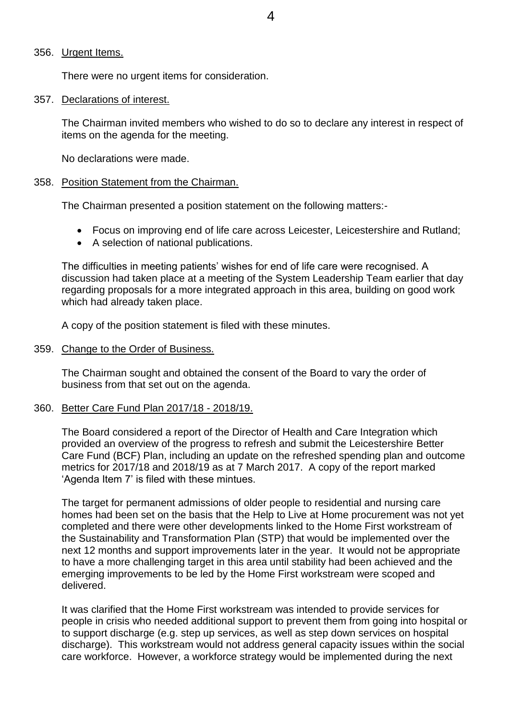#### 356. Urgent Items.

There were no urgent items for consideration.

#### 357. Declarations of interest.

The Chairman invited members who wished to do so to declare any interest in respect of items on the agenda for the meeting.

No declarations were made.

## 358. Position Statement from the Chairman.

The Chairman presented a position statement on the following matters:-

- Focus on improving end of life care across Leicester, Leicestershire and Rutland;
- A selection of national publications.

The difficulties in meeting patients' wishes for end of life care were recognised. A discussion had taken place at a meeting of the System Leadership Team earlier that day regarding proposals for a more integrated approach in this area, building on good work which had already taken place.

A copy of the position statement is filed with these minutes.

## 359. Change to the Order of Business.

The Chairman sought and obtained the consent of the Board to vary the order of business from that set out on the agenda.

## 360. Better Care Fund Plan 2017/18 - 2018/19.

The Board considered a report of the Director of Health and Care Integration which provided an overview of the progress to refresh and submit the Leicestershire Better Care Fund (BCF) Plan, including an update on the refreshed spending plan and outcome metrics for 2017/18 and 2018/19 as at 7 March 2017. A copy of the report marked 'Agenda Item 7' is filed with these mintues.

The target for permanent admissions of older people to residential and nursing care homes had been set on the basis that the Help to Live at Home procurement was not yet completed and there were other developments linked to the Home First workstream of the Sustainability and Transformation Plan (STP) that would be implemented over the next 12 months and support improvements later in the year. It would not be appropriate to have a more challenging target in this area until stability had been achieved and the emerging improvements to be led by the Home First workstream were scoped and delivered.

It was clarified that the Home First workstream was intended to provide services for people in crisis who needed additional support to prevent them from going into hospital or to support discharge (e.g. step up services, as well as step down services on hospital discharge). This workstream would not address general capacity issues within the social care workforce. However, a workforce strategy would be implemented during the next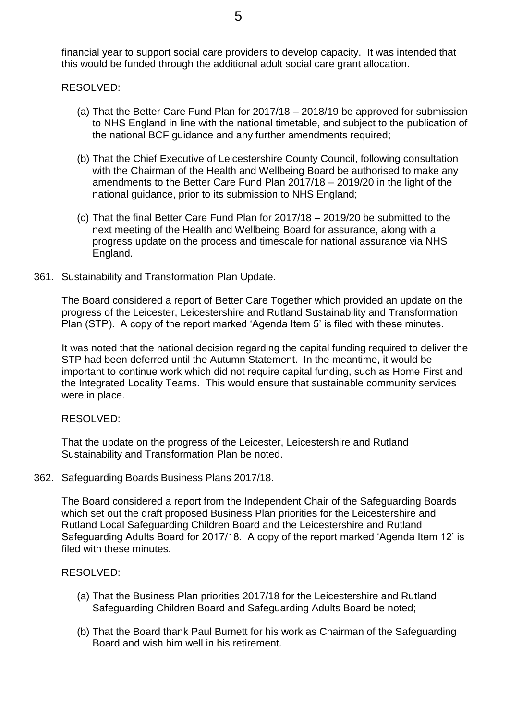financial year to support social care providers to develop capacity. It was intended that this would be funded through the additional adult social care grant allocation.

# RESOLVED:

- (a) That the Better Care Fund Plan for 2017/18 2018/19 be approved for submission to NHS England in line with the national timetable, and subject to the publication of the national BCF guidance and any further amendments required;
- (b) That the Chief Executive of Leicestershire County Council, following consultation with the Chairman of the Health and Wellbeing Board be authorised to make any amendments to the Better Care Fund Plan 2017/18 – 2019/20 in the light of the national guidance, prior to its submission to NHS England;
- (c) That the final Better Care Fund Plan for 2017/18 2019/20 be submitted to the next meeting of the Health and Wellbeing Board for assurance, along with a progress update on the process and timescale for national assurance via NHS England.

## 361. Sustainability and Transformation Plan Update.

The Board considered a report of Better Care Together which provided an update on the progress of the Leicester, Leicestershire and Rutland Sustainability and Transformation Plan (STP). A copy of the report marked 'Agenda Item 5' is filed with these minutes.

It was noted that the national decision regarding the capital funding required to deliver the STP had been deferred until the Autumn Statement. In the meantime, it would be important to continue work which did not require capital funding, such as Home First and the Integrated Locality Teams. This would ensure that sustainable community services were in place.

## RESOLVED:

That the update on the progress of the Leicester, Leicestershire and Rutland Sustainability and Transformation Plan be noted.

## 362. Safeguarding Boards Business Plans 2017/18.

The Board considered a report from the Independent Chair of the Safeguarding Boards which set out the draft proposed Business Plan priorities for the Leicestershire and Rutland Local Safeguarding Children Board and the Leicestershire and Rutland Safeguarding Adults Board for 2017/18. A copy of the report marked 'Agenda Item 12' is filed with these minutes.

# RESOLVED:

- (a) That the Business Plan priorities 2017/18 for the Leicestershire and Rutland Safeguarding Children Board and Safeguarding Adults Board be noted;
- (b) That the Board thank Paul Burnett for his work as Chairman of the Safeguarding Board and wish him well in his retirement.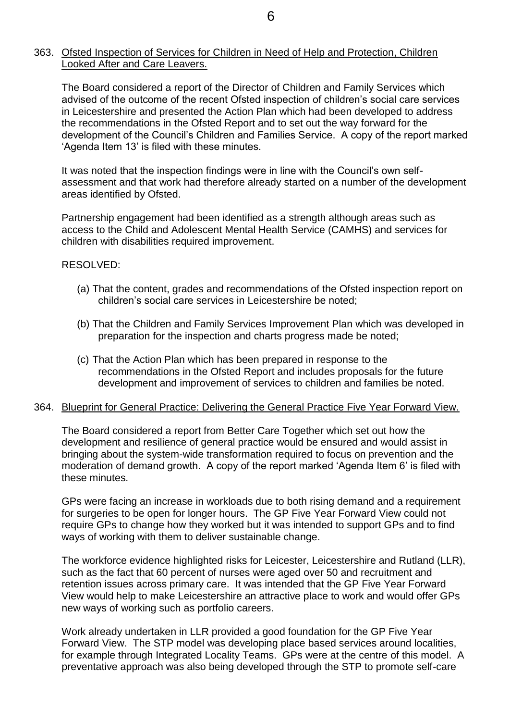## 363. Ofsted Inspection of Services for Children in Need of Help and Protection, Children Looked After and Care Leavers.

The Board considered a report of the Director of Children and Family Services which advised of the outcome of the recent Ofsted inspection of children's social care services in Leicestershire and presented the Action Plan which had been developed to address the recommendations in the Ofsted Report and to set out the way forward for the development of the Council's Children and Families Service. A copy of the report marked 'Agenda Item 13' is filed with these minutes.

It was noted that the inspection findings were in line with the Council's own selfassessment and that work had therefore already started on a number of the development areas identified by Ofsted.

Partnership engagement had been identified as a strength although areas such as access to the Child and Adolescent Mental Health Service (CAMHS) and services for children with disabilities required improvement.

# RESOLVED:

- (a) That the content, grades and recommendations of the Ofsted inspection report on children's social care services in Leicestershire be noted;
- (b) That the Children and Family Services Improvement Plan which was developed in preparation for the inspection and charts progress made be noted;
- (c) That the Action Plan which has been prepared in response to the recommendations in the Ofsted Report and includes proposals for the future development and improvement of services to children and families be noted.

## 364. Blueprint for General Practice: Delivering the General Practice Five Year Forward View.

The Board considered a report from Better Care Together which set out how the development and resilience of general practice would be ensured and would assist in bringing about the system-wide transformation required to focus on prevention and the moderation of demand growth. A copy of the report marked 'Agenda Item 6' is filed with these minutes.

GPs were facing an increase in workloads due to both rising demand and a requirement for surgeries to be open for longer hours. The GP Five Year Forward View could not require GPs to change how they worked but it was intended to support GPs and to find ways of working with them to deliver sustainable change.

The workforce evidence highlighted risks for Leicester, Leicestershire and Rutland (LLR), such as the fact that 60 percent of nurses were aged over 50 and recruitment and retention issues across primary care. It was intended that the GP Five Year Forward View would help to make Leicestershire an attractive place to work and would offer GPs new ways of working such as portfolio careers.

Work already undertaken in LLR provided a good foundation for the GP Five Year Forward View. The STP model was developing place based services around localities, for example through Integrated Locality Teams. GPs were at the centre of this model. A preventative approach was also being developed through the STP to promote self-care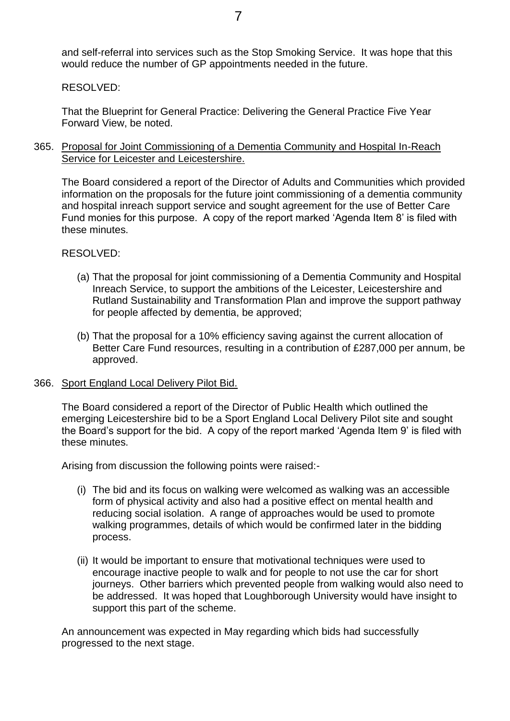7

and self-referral into services such as the Stop Smoking Service. It was hope that this would reduce the number of GP appointments needed in the future.

RESOLVED:

That the Blueprint for General Practice: Delivering the General Practice Five Year Forward View, be noted.

365. Proposal for Joint Commissioning of a Dementia Community and Hospital In-Reach Service for Leicester and Leicestershire.

The Board considered a report of the Director of Adults and Communities which provided information on the proposals for the future joint commissioning of a dementia community and hospital inreach support service and sought agreement for the use of Better Care Fund monies for this purpose. A copy of the report marked 'Agenda Item 8' is filed with these minutes.

RESOLVED:

- (a) That the proposal for joint commissioning of a Dementia Community and Hospital Inreach Service, to support the ambitions of the Leicester, Leicestershire and Rutland Sustainability and Transformation Plan and improve the support pathway for people affected by dementia, be approved;
- (b) That the proposal for a 10% efficiency saving against the current allocation of Better Care Fund resources, resulting in a contribution of £287,000 per annum, be approved.
- 366. Sport England Local Delivery Pilot Bid.

The Board considered a report of the Director of Public Health which outlined the emerging Leicestershire bid to be a Sport England Local Delivery Pilot site and sought the Board's support for the bid. A copy of the report marked 'Agenda Item 9' is filed with these minutes.

Arising from discussion the following points were raised:-

- (i) The bid and its focus on walking were welcomed as walking was an accessible form of physical activity and also had a positive effect on mental health and reducing social isolation. A range of approaches would be used to promote walking programmes, details of which would be confirmed later in the bidding process.
- (ii) It would be important to ensure that motivational techniques were used to encourage inactive people to walk and for people to not use the car for short journeys. Other barriers which prevented people from walking would also need to be addressed. It was hoped that Loughborough University would have insight to support this part of the scheme.

An announcement was expected in May regarding which bids had successfully progressed to the next stage.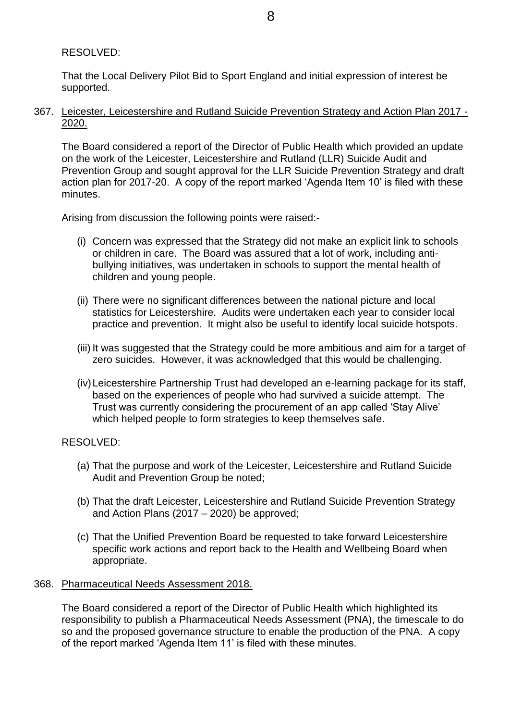# RESOLVED:

That the Local Delivery Pilot Bid to Sport England and initial expression of interest be supported.

367. Leicester, Leicestershire and Rutland Suicide Prevention Strategy and Action Plan 2017 - 2020.

The Board considered a report of the Director of Public Health which provided an update on the work of the Leicester, Leicestershire and Rutland (LLR) Suicide Audit and Prevention Group and sought approval for the LLR Suicide Prevention Strategy and draft action plan for 2017-20. A copy of the report marked 'Agenda Item 10' is filed with these minutes.

Arising from discussion the following points were raised:-

- (i) Concern was expressed that the Strategy did not make an explicit link to schools or children in care. The Board was assured that a lot of work, including antibullying initiatives, was undertaken in schools to support the mental health of children and young people.
- (ii) There were no significant differences between the national picture and local statistics for Leicestershire. Audits were undertaken each year to consider local practice and prevention. It might also be useful to identify local suicide hotspots.
- (iii) It was suggested that the Strategy could be more ambitious and aim for a target of zero suicides. However, it was acknowledged that this would be challenging.
- (iv)Leicestershire Partnership Trust had developed an e-learning package for its staff, based on the experiences of people who had survived a suicide attempt. The Trust was currently considering the procurement of an app called 'Stay Alive' which helped people to form strategies to keep themselves safe.

# RESOLVED:

- (a) That the purpose and work of the Leicester, Leicestershire and Rutland Suicide Audit and Prevention Group be noted;
- (b) That the draft Leicester, Leicestershire and Rutland Suicide Prevention Strategy and Action Plans (2017 – 2020) be approved;
- (c) That the Unified Prevention Board be requested to take forward Leicestershire specific work actions and report back to the Health and Wellbeing Board when appropriate.

# 368. Pharmaceutical Needs Assessment 2018.

The Board considered a report of the Director of Public Health which highlighted its responsibility to publish a Pharmaceutical Needs Assessment (PNA), the timescale to do so and the proposed governance structure to enable the production of the PNA. A copy of the report marked 'Agenda Item 11' is filed with these minutes.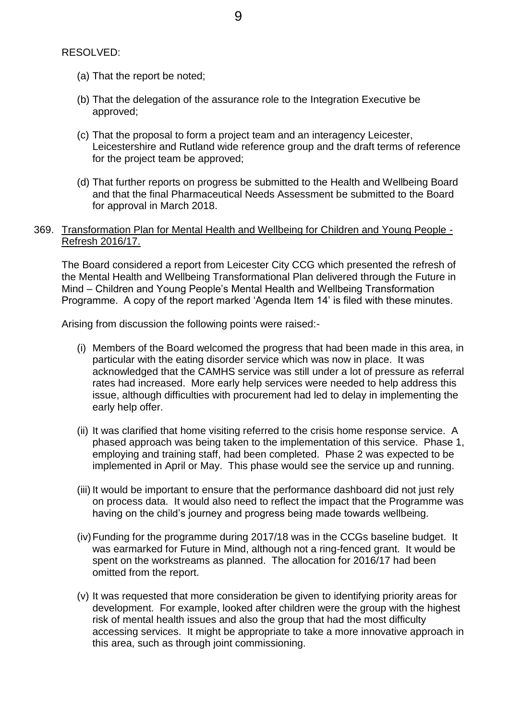RESOLVED:

- (a) That the report be noted;
- (b) That the delegation of the assurance role to the Integration Executive be approved;
- (c) That the proposal to form a project team and an interagency Leicester, Leicestershire and Rutland wide reference group and the draft terms of reference for the project team be approved;
- (d) That further reports on progress be submitted to the Health and Wellbeing Board and that the final Pharmaceutical Needs Assessment be submitted to the Board for approval in March 2018.

## 369. Transformation Plan for Mental Health and Wellbeing for Children and Young People - Refresh 2016/17.

The Board considered a report from Leicester City CCG which presented the refresh of the Mental Health and Wellbeing Transformational Plan delivered through the Future in Mind – Children and Young People's Mental Health and Wellbeing Transformation Programme. A copy of the report marked 'Agenda Item 14' is filed with these minutes.

Arising from discussion the following points were raised:-

- (i) Members of the Board welcomed the progress that had been made in this area, in particular with the eating disorder service which was now in place. It was acknowledged that the CAMHS service was still under a lot of pressure as referral rates had increased. More early help services were needed to help address this issue, although difficulties with procurement had led to delay in implementing the early help offer.
- (ii) It was clarified that home visiting referred to the crisis home response service. A phased approach was being taken to the implementation of this service. Phase 1, employing and training staff, had been completed. Phase 2 was expected to be implemented in April or May. This phase would see the service up and running.
- (iii) It would be important to ensure that the performance dashboard did not just rely on process data. It would also need to reflect the impact that the Programme was having on the child's journey and progress being made towards wellbeing.
- (iv)Funding for the programme during 2017/18 was in the CCGs baseline budget. It was earmarked for Future in Mind, although not a ring-fenced grant. It would be spent on the workstreams as planned. The allocation for 2016/17 had been omitted from the report.
- (v) It was requested that more consideration be given to identifying priority areas for development. For example, looked after children were the group with the highest risk of mental health issues and also the group that had the most difficulty accessing services. It might be appropriate to take a more innovative approach in this area, such as through joint commissioning.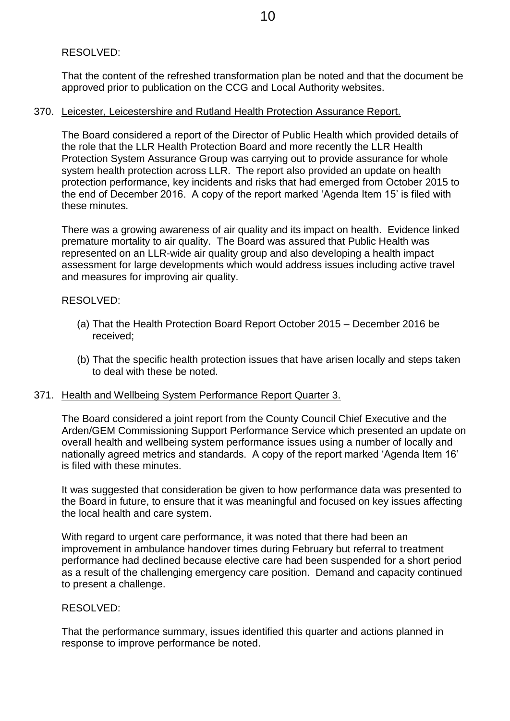# RESOLVED:

That the content of the refreshed transformation plan be noted and that the document be approved prior to publication on the CCG and Local Authority websites.

## 370. Leicester, Leicestershire and Rutland Health Protection Assurance Report.

The Board considered a report of the Director of Public Health which provided details of the role that the LLR Health Protection Board and more recently the LLR Health Protection System Assurance Group was carrying out to provide assurance for whole system health protection across LLR. The report also provided an update on health protection performance, key incidents and risks that had emerged from October 2015 to the end of December 2016. A copy of the report marked 'Agenda Item 15' is filed with these minutes.

There was a growing awareness of air quality and its impact on health. Evidence linked premature mortality to air quality. The Board was assured that Public Health was represented on an LLR-wide air quality group and also developing a health impact assessment for large developments which would address issues including active travel and measures for improving air quality.

## RESOLVED:

- (a) That the Health Protection Board Report October 2015 December 2016 be received;
- (b) That the specific health protection issues that have arisen locally and steps taken to deal with these be noted.

## 371. Health and Wellbeing System Performance Report Quarter 3.

The Board considered a joint report from the County Council Chief Executive and the Arden/GEM Commissioning Support Performance Service which presented an update on overall health and wellbeing system performance issues using a number of locally and nationally agreed metrics and standards. A copy of the report marked 'Agenda Item 16' is filed with these minutes.

It was suggested that consideration be given to how performance data was presented to the Board in future, to ensure that it was meaningful and focused on key issues affecting the local health and care system.

With regard to urgent care performance, it was noted that there had been an improvement in ambulance handover times during February but referral to treatment performance had declined because elective care had been suspended for a short period as a result of the challenging emergency care position. Demand and capacity continued to present a challenge.

## RESOLVED:

That the performance summary, issues identified this quarter and actions planned in response to improve performance be noted.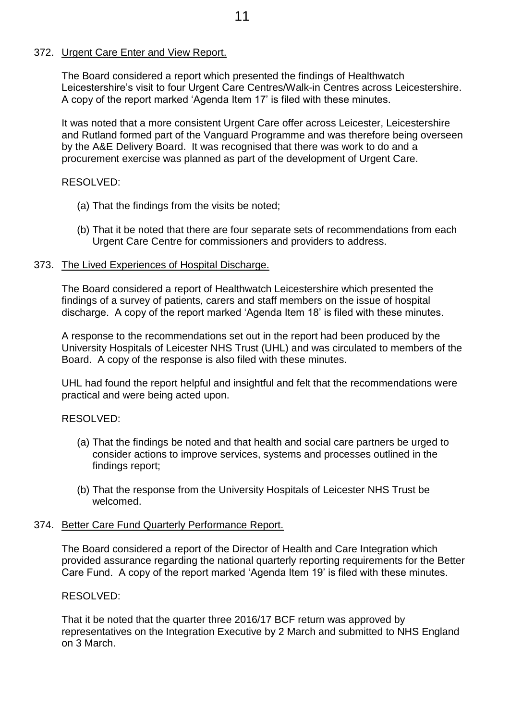# 372. Urgent Care Enter and View Report.

The Board considered a report which presented the findings of Healthwatch Leicestershire's visit to four Urgent Care Centres/Walk-in Centres across Leicestershire. A copy of the report marked 'Agenda Item 17' is filed with these minutes.

It was noted that a more consistent Urgent Care offer across Leicester, Leicestershire and Rutland formed part of the Vanguard Programme and was therefore being overseen by the A&E Delivery Board. It was recognised that there was work to do and a procurement exercise was planned as part of the development of Urgent Care.

# RESOLVED:

- (a) That the findings from the visits be noted;
- (b) That it be noted that there are four separate sets of recommendations from each Urgent Care Centre for commissioners and providers to address.

# 373. The Lived Experiences of Hospital Discharge.

The Board considered a report of Healthwatch Leicestershire which presented the findings of a survey of patients, carers and staff members on the issue of hospital discharge. A copy of the report marked 'Agenda Item 18' is filed with these minutes.

A response to the recommendations set out in the report had been produced by the University Hospitals of Leicester NHS Trust (UHL) and was circulated to members of the Board. A copy of the response is also filed with these minutes.

UHL had found the report helpful and insightful and felt that the recommendations were practical and were being acted upon.

# RESOLVED:

- (a) That the findings be noted and that health and social care partners be urged to consider actions to improve services, systems and processes outlined in the findings report;
- (b) That the response from the University Hospitals of Leicester NHS Trust be welcomed.

# 374. Better Care Fund Quarterly Performance Report.

The Board considered a report of the Director of Health and Care Integration which provided assurance regarding the national quarterly reporting requirements for the Better Care Fund. A copy of the report marked 'Agenda Item 19' is filed with these minutes.

# RESOLVED:

That it be noted that the quarter three 2016/17 BCF return was approved by representatives on the Integration Executive by 2 March and submitted to NHS England on 3 March.